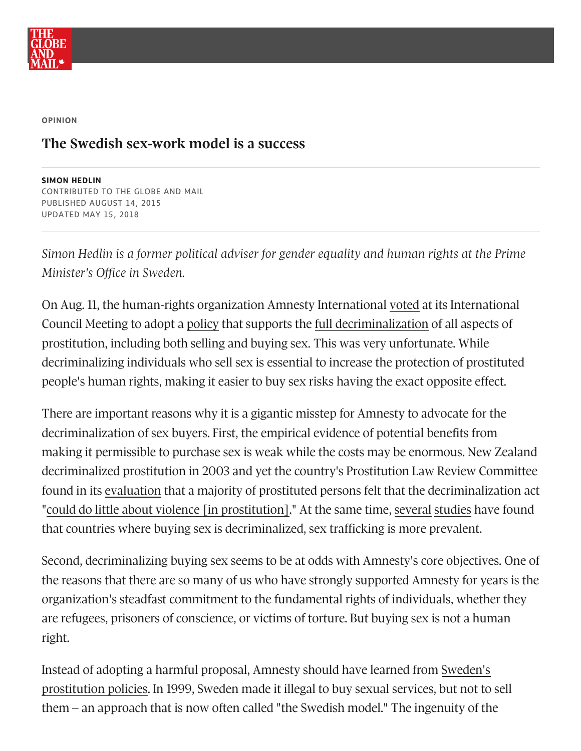

**OPINION**

## **The Swedish sex-work model is a success**

**SIMON HEDLIN** CONTRIBUTED TO THE GLOBE AND MAIL PUBLISHED AUGUST 14, 2015 UPDATED MAY 15, 2018

*Simon Hedlin is a former political adviser for gender equality and human rights at the Prime Minister's Office in Sweden.*

On Aug. 11, the human-rights organization Amnesty International [voted](http://www.huffingtonpost.com/entry/amnesty-international-sex-workers_55ca283fe4b0923c12be34aa?kvcommref=mostpopular) at its International Council Meeting to adopt a [policy](https://www.amnesty.org/latest/news/2015/08/global-movement-votes-to-adopt-policy-to-protect-human-rights-of-sex-workers/) that supports the full [decriminalization](https://www.youtube.com/watch?v=pJ8xSBaVIXU) of all aspects of prostitution, including both selling and buying sex. This was very unfortunate. While decriminalizing individuals who sell sex is essential to increase the protection of prostituted people's human rights, making it easier to buy sex risks having the exact opposite effect.

There are important reasons why it is a gigantic misstep for Amnesty to advocate for the decriminalization of sex buyers. First, the empirical evidence of potential benefits from making it permissible to purchase sex is weak while the costs may be enormous. New Zealand decriminalized prostitution in 2003 and yet the country's Prostitution Law Review Committee found in its [evaluation](http://www.justice.govt.nz/policy/commercial-property-and-regulatory/prostitution/prostitution-law-review-committee/publications/plrc-report/documents/report.pdf) that a majority of prostituted persons felt that the decriminalization act "could do little about violence [in [prostitution\].](http://www.justice.govt.nz/policy/commercial-property-and-regulatory/prostitution/prostitution-law-review-committee/publications/plrc-report/documents/report.pdf)" At the same time, [several](http://link.springer.com/article/10.1007%2Fs10657-011-9232-0) [studies](http://www.sciencedirect.com/science/article/pii/S0305750X12001453) have found that countries where buying sex is decriminalized, sex trafficking is more prevalent.

Second, decriminalizing buying sex seems to be at odds with Amnesty's core objectives. One of the reasons that there are so many of us who have strongly supported Amnesty for years is the organization's steadfast commitment to the fundamental rights of individuals, whether they are refugees, prisoners of conscience, or victims of torture. But buying sex is not a human right.

Instead of adopting a harmful proposal, Amnesty should have learned from Sweden's [prostitution](http://www.independent.co.uk/news/world/europe/legalising-prostitution-has-swedens-law-prosecuting-buyers-not-sellers-worked-10446167.html) policies. In 1999, Sweden made it illegal to buy sexual services, but not to sell  $them - an$  approach that is now often called "the Swedish model." The ingenuity of the